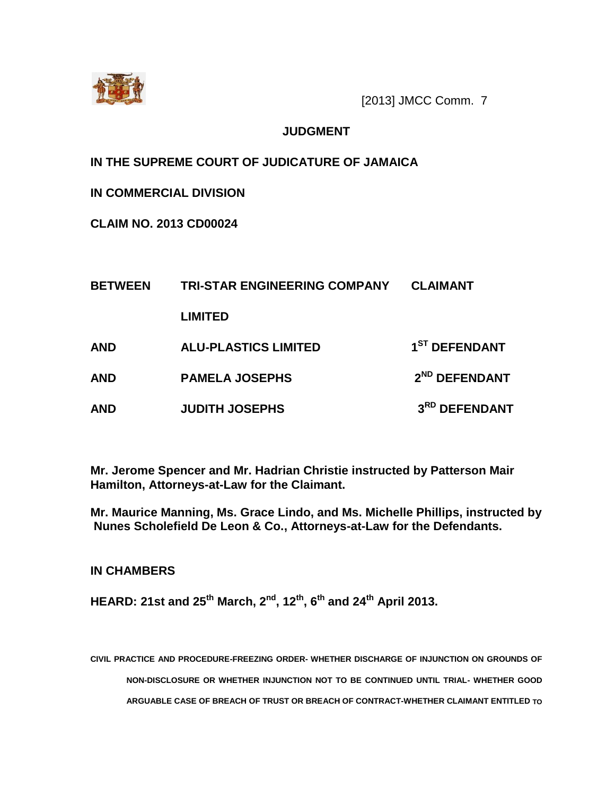

[2013] JMCC Comm. 7

## **JUDGMENT**

**IN THE SUPREME COURT OF JUDICATURE OF JAMAICA**

**IN COMMERCIAL DIVISION**

**CLAIM NO. 2013 CD00024**

| <b>BETWEEN</b> | <b>TRI-STAR ENGINEERING COMPANY</b> | <b>CLAIMANT</b>           |
|----------------|-------------------------------------|---------------------------|
|                | <b>LIMITED</b>                      |                           |
| <b>AND</b>     | <b>ALU-PLASTICS LIMITED</b>         | 1 <sup>ST</sup> DEFENDANT |
| <b>AND</b>     | <b>PAMELA JOSEPHS</b>               | 2 <sup>ND</sup> DEFENDANT |
| <b>AND</b>     | <b>JUDITH JOSEPHS</b>               | 3RD DEFENDANT             |

**Mr. Jerome Spencer and Mr. Hadrian Christie instructed by Patterson Mair Hamilton, Attorneys-at-Law for the Claimant.**

**Mr. Maurice Manning, Ms. Grace Lindo, and Ms. Michelle Phillips, instructed by Nunes Scholefield De Leon & Co., Attorneys-at-Law for the Defendants.**

**IN CHAMBERS**

**HEARD: 21st and 25th March, 2nd, 12th , 6 th and 24th April 2013.**

**CIVIL PRACTICE AND PROCEDURE-FREEZING ORDER- WHETHER DISCHARGE OF INJUNCTION ON GROUNDS OF NON-DISCLOSURE OR WHETHER INJUNCTION NOT TO BE CONTINUED UNTIL TRIAL- WHETHER GOOD ARGUABLE CASE OF BREACH OF TRUST OR BREACH OF CONTRACT-WHETHER CLAIMANT ENTITLED TO**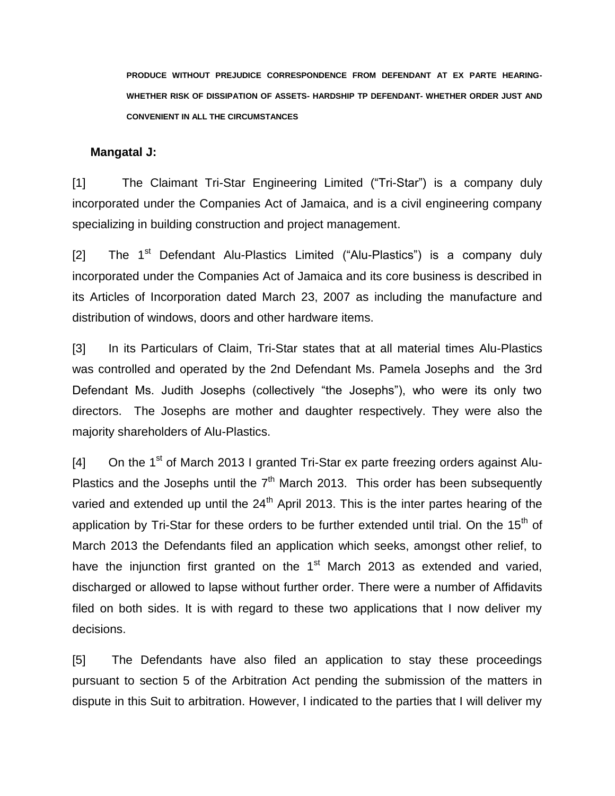**PRODUCE WITHOUT PREJUDICE CORRESPONDENCE FROM DEFENDANT AT EX PARTE HEARING-WHETHER RISK OF DISSIPATION OF ASSETS- HARDSHIP TP DEFENDANT- WHETHER ORDER JUST AND CONVENIENT IN ALL THE CIRCUMSTANCES** 

#### **Mangatal J:**

[1] The Claimant Tri-Star Engineering Limited ("Tri-Star") is a company duly incorporated under the Companies Act of Jamaica, and is a civil engineering company specializing in building construction and project management.

[2] The  $1<sup>st</sup>$  Defendant Alu-Plastics Limited ("Alu-Plastics") is a company duly incorporated under the Companies Act of Jamaica and its core business is described in its Articles of Incorporation dated March 23, 2007 as including the manufacture and distribution of windows, doors and other hardware items.

[3] In its Particulars of Claim, Tri-Star states that at all material times Alu-Plastics was controlled and operated by the 2nd Defendant Ms. Pamela Josephs and the 3rd Defendant Ms. Judith Josephs (collectively "the Josephs"), who were its only two directors. The Josephs are mother and daughter respectively. They were also the majority shareholders of Alu-Plastics.

 $[4]$  On the 1<sup>st</sup> of March 2013 I granted Tri-Star ex parte freezing orders against Alu-Plastics and the Josephs until the  $7<sup>th</sup>$  March 2013. This order has been subsequently varied and extended up until the 24<sup>th</sup> April 2013. This is the inter partes hearing of the application by Tri-Star for these orders to be further extended until trial. On the  $15<sup>th</sup>$  of March 2013 the Defendants filed an application which seeks, amongst other relief, to have the injunction first granted on the  $1<sup>st</sup>$  March 2013 as extended and varied, discharged or allowed to lapse without further order. There were a number of Affidavits filed on both sides. It is with regard to these two applications that I now deliver my decisions.

[5] The Defendants have also filed an application to stay these proceedings pursuant to section 5 of the Arbitration Act pending the submission of the matters in dispute in this Suit to arbitration. However, I indicated to the parties that I will deliver my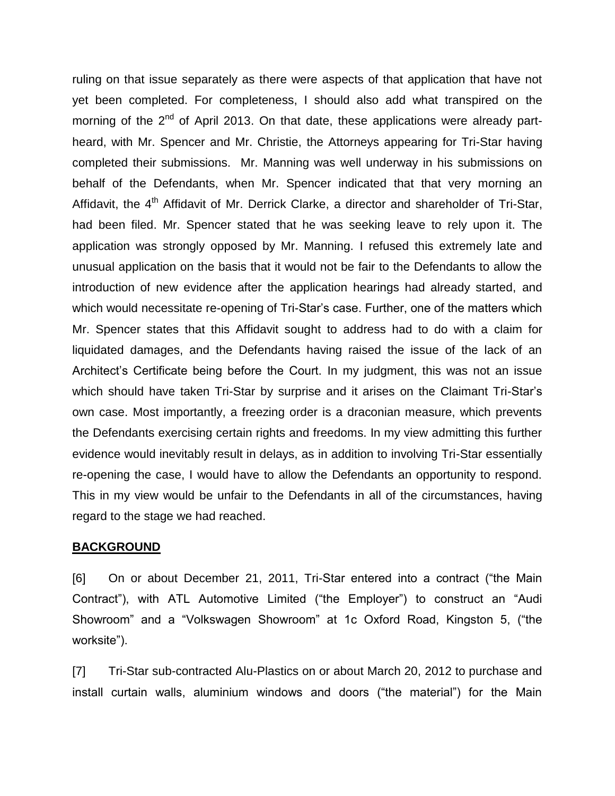ruling on that issue separately as there were aspects of that application that have not yet been completed. For completeness, I should also add what transpired on the morning of the  $2^{nd}$  of April 2013. On that date, these applications were already partheard, with Mr. Spencer and Mr. Christie, the Attorneys appearing for Tri-Star having completed their submissions. Mr. Manning was well underway in his submissions on behalf of the Defendants, when Mr. Spencer indicated that that very morning an Affidavit, the 4<sup>th</sup> Affidavit of Mr. Derrick Clarke, a director and shareholder of Tri-Star, had been filed. Mr. Spencer stated that he was seeking leave to rely upon it. The application was strongly opposed by Mr. Manning. I refused this extremely late and unusual application on the basis that it would not be fair to the Defendants to allow the introduction of new evidence after the application hearings had already started, and which would necessitate re-opening of Tri-Star's case. Further, one of the matters which Mr. Spencer states that this Affidavit sought to address had to do with a claim for liquidated damages, and the Defendants having raised the issue of the lack of an Architect's Certificate being before the Court. In my judgment, this was not an issue which should have taken Tri-Star by surprise and it arises on the Claimant Tri-Star's own case. Most importantly, a freezing order is a draconian measure, which prevents the Defendants exercising certain rights and freedoms. In my view admitting this further evidence would inevitably result in delays, as in addition to involving Tri-Star essentially re-opening the case, I would have to allow the Defendants an opportunity to respond. This in my view would be unfair to the Defendants in all of the circumstances, having regard to the stage we had reached.

#### **BACKGROUND**

[6] On or about December 21, 2011, Tri-Star entered into a contract ("the Main Contract"), with ATL Automotive Limited ("the Employer") to construct an "Audi Showroom" and a "Volkswagen Showroom" at 1c Oxford Road, Kingston 5, ("the worksite").

[7] Tri-Star sub-contracted Alu-Plastics on or about March 20, 2012 to purchase and install curtain walls, aluminium windows and doors ("the material") for the Main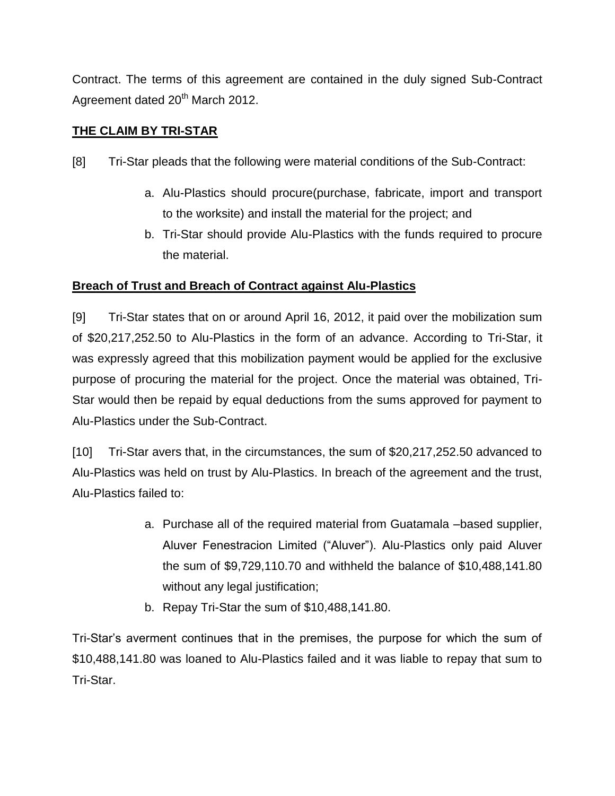Contract. The terms of this agreement are contained in the duly signed Sub-Contract Agreement dated 20<sup>th</sup> March 2012.

## **THE CLAIM BY TRI-STAR**

- [8] Tri-Star pleads that the following were material conditions of the Sub-Contract:
	- a. Alu-Plastics should procure(purchase, fabricate, import and transport to the worksite) and install the material for the project; and
	- b. Tri-Star should provide Alu-Plastics with the funds required to procure the material.

## **Breach of Trust and Breach of Contract against Alu-Plastics**

[9] Tri-Star states that on or around April 16, 2012, it paid over the mobilization sum of \$20,217,252.50 to Alu-Plastics in the form of an advance. According to Tri-Star, it was expressly agreed that this mobilization payment would be applied for the exclusive purpose of procuring the material for the project. Once the material was obtained, Tri-Star would then be repaid by equal deductions from the sums approved for payment to Alu-Plastics under the Sub-Contract.

[10] Tri-Star avers that, in the circumstances, the sum of \$20,217,252.50 advanced to Alu-Plastics was held on trust by Alu-Plastics. In breach of the agreement and the trust, Alu-Plastics failed to:

- a. Purchase all of the required material from Guatamala –based supplier, Aluver Fenestracion Limited ("Aluver"). Alu-Plastics only paid Aluver the sum of \$9,729,110.70 and withheld the balance of \$10,488,141.80 without any legal justification;
- b. Repay Tri-Star the sum of \$10,488,141.80.

Tri-Star's averment continues that in the premises, the purpose for which the sum of \$10,488,141.80 was loaned to Alu-Plastics failed and it was liable to repay that sum to Tri-Star.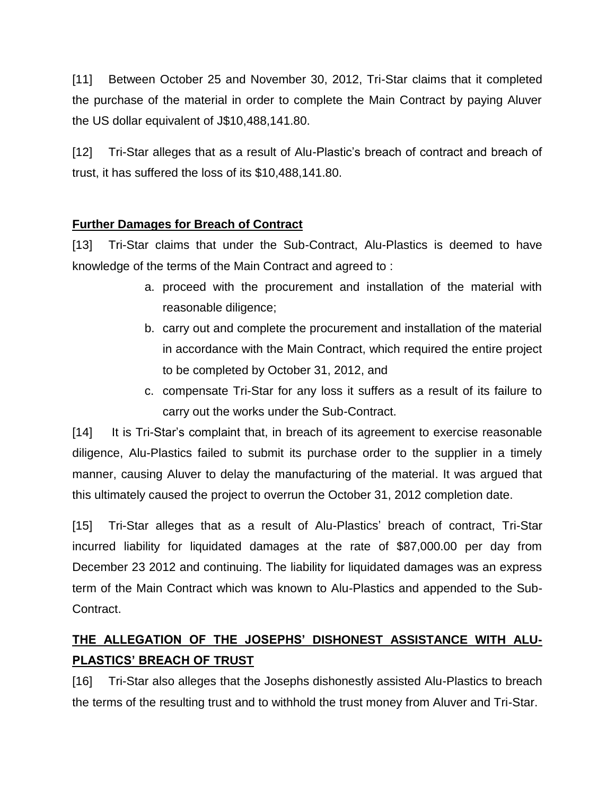[11] Between October 25 and November 30, 2012, Tri-Star claims that it completed the purchase of the material in order to complete the Main Contract by paying Aluver the US dollar equivalent of J\$10,488,141.80.

[12] Tri-Star alleges that as a result of Alu-Plastic's breach of contract and breach of trust, it has suffered the loss of its \$10,488,141.80.

## **Further Damages for Breach of Contract**

[13] Tri-Star claims that under the Sub-Contract, Alu-Plastics is deemed to have knowledge of the terms of the Main Contract and agreed to :

- a. proceed with the procurement and installation of the material with reasonable diligence;
- b. carry out and complete the procurement and installation of the material in accordance with the Main Contract, which required the entire project to be completed by October 31, 2012, and
- c. compensate Tri-Star for any loss it suffers as a result of its failure to carry out the works under the Sub-Contract.

[14] It is Tri-Star's complaint that, in breach of its agreement to exercise reasonable diligence, Alu-Plastics failed to submit its purchase order to the supplier in a timely manner, causing Aluver to delay the manufacturing of the material. It was argued that this ultimately caused the project to overrun the October 31, 2012 completion date.

[15] Tri-Star alleges that as a result of Alu-Plastics' breach of contract, Tri-Star incurred liability for liquidated damages at the rate of \$87,000.00 per day from December 23 2012 and continuing. The liability for liquidated damages was an express term of the Main Contract which was known to Alu-Plastics and appended to the Sub-Contract.

# **THE ALLEGATION OF THE JOSEPHS' DISHONEST ASSISTANCE WITH ALU-PLASTICS' BREACH OF TRUST**

[16] Tri-Star also alleges that the Josephs dishonestly assisted Alu-Plastics to breach the terms of the resulting trust and to withhold the trust money from Aluver and Tri-Star.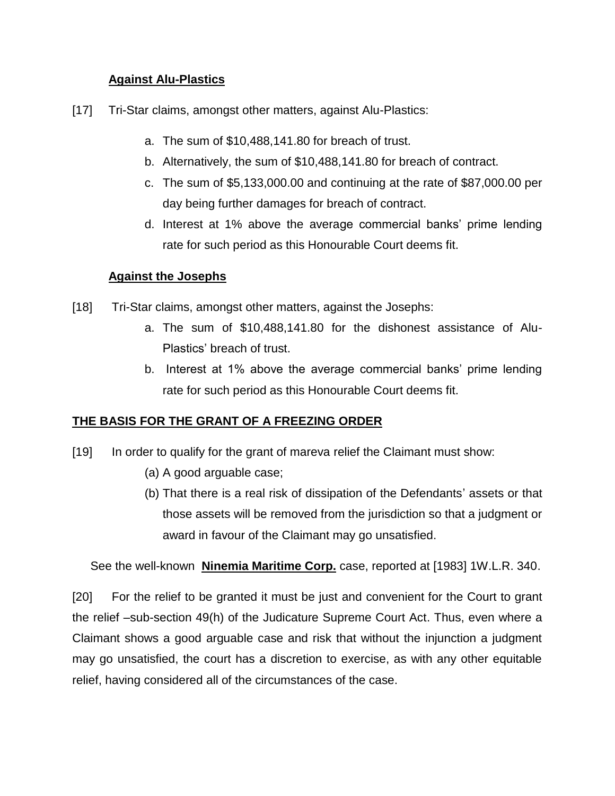## **Against Alu-Plastics**

- [17] Tri-Star claims, amongst other matters, against Alu-Plastics:
	- a. The sum of \$10,488,141.80 for breach of trust.
	- b. Alternatively, the sum of \$10,488,141.80 for breach of contract.
	- c. The sum of \$5,133,000.00 and continuing at the rate of \$87,000.00 per day being further damages for breach of contract.
	- d. Interest at 1% above the average commercial banks' prime lending rate for such period as this Honourable Court deems fit.

## **Against the Josephs**

- [18] Tri-Star claims, amongst other matters, against the Josephs:
	- a. The sum of \$10,488,141.80 for the dishonest assistance of Alu-Plastics' breach of trust.
	- b. Interest at 1% above the average commercial banks' prime lending rate for such period as this Honourable Court deems fit.

## **THE BASIS FOR THE GRANT OF A FREEZING ORDER**

- [19] In order to qualify for the grant of mareva relief the Claimant must show:
	- (a) A good arguable case;
	- (b) That there is a real risk of dissipation of the Defendants' assets or that those assets will be removed from the jurisdiction so that a judgment or award in favour of the Claimant may go unsatisfied.

See the well-known **Ninemia Maritime Corp.** case, reported at [1983] 1W.L.R. 340.

[20] For the relief to be granted it must be just and convenient for the Court to grant the relief –sub-section 49(h) of the Judicature Supreme Court Act. Thus, even where a Claimant shows a good arguable case and risk that without the injunction a judgment may go unsatisfied, the court has a discretion to exercise, as with any other equitable relief, having considered all of the circumstances of the case.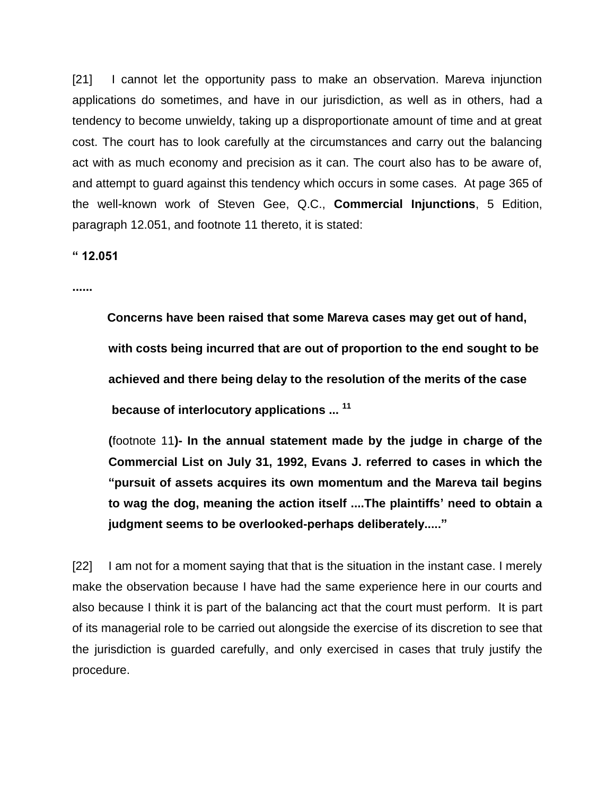[21] I cannot let the opportunity pass to make an observation. Mareva injunction applications do sometimes, and have in our jurisdiction, as well as in others, had a tendency to become unwieldy, taking up a disproportionate amount of time and at great cost. The court has to look carefully at the circumstances and carry out the balancing act with as much economy and precision as it can. The court also has to be aware of, and attempt to guard against this tendency which occurs in some cases. At page 365 of the well-known work of Steven Gee, Q.C., **Commercial Injunctions**, 5 Edition, paragraph 12.051, and footnote 11 thereto, it is stated:

**" 12.051**

**......**

 **Concerns have been raised that some Mareva cases may get out of hand, with costs being incurred that are out of proportion to the end sought to be achieved and there being delay to the resolution of the merits of the case because of interlocutory applications ... <sup>11</sup>**

**(**footnote 11**)- In the annual statement made by the judge in charge of the Commercial List on July 31, 1992, Evans J. referred to cases in which the "pursuit of assets acquires its own momentum and the Mareva tail begins to wag the dog, meaning the action itself ....The plaintiffs' need to obtain a judgment seems to be overlooked-perhaps deliberately....."**

[22] I am not for a moment saying that that is the situation in the instant case. I merely make the observation because I have had the same experience here in our courts and also because I think it is part of the balancing act that the court must perform. It is part of its managerial role to be carried out alongside the exercise of its discretion to see that the jurisdiction is guarded carefully, and only exercised in cases that truly justify the procedure.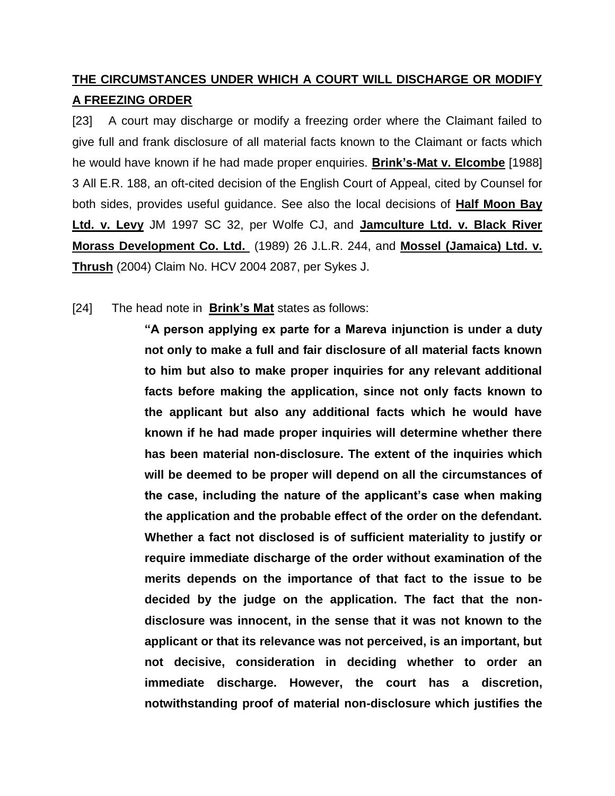## **THE CIRCUMSTANCES UNDER WHICH A COURT WILL DISCHARGE OR MODIFY A FREEZING ORDER**

[23] A court may discharge or modify a freezing order where the Claimant failed to give full and frank disclosure of all material facts known to the Claimant or facts which he would have known if he had made proper enquiries. **Brink's-Mat v. Elcombe** [1988] 3 All E.R. 188, an oft-cited decision of the English Court of Appeal, cited by Counsel for both sides, provides useful guidance. See also the local decisions of **Half Moon Bay Ltd. v. Levy** JM 1997 SC 32, per Wolfe CJ, and **Jamculture Ltd. v. Black River Morass Development Co. Ltd.** (1989) 26 J.L.R. 244, and **Mossel (Jamaica) Ltd. v. Thrush** (2004) Claim No. HCV 2004 2087, per Sykes J.

## [24] The head note in **Brink's Mat** states as follows:

**"A person applying ex parte for a Mareva injunction is under a duty not only to make a full and fair disclosure of all material facts known to him but also to make proper inquiries for any relevant additional facts before making the application, since not only facts known to the applicant but also any additional facts which he would have known if he had made proper inquiries will determine whether there has been material non-disclosure. The extent of the inquiries which will be deemed to be proper will depend on all the circumstances of the case, including the nature of the applicant's case when making the application and the probable effect of the order on the defendant. Whether a fact not disclosed is of sufficient materiality to justify or require immediate discharge of the order without examination of the merits depends on the importance of that fact to the issue to be decided by the judge on the application. The fact that the nondisclosure was innocent, in the sense that it was not known to the applicant or that its relevance was not perceived, is an important, but not decisive, consideration in deciding whether to order an immediate discharge. However, the court has a discretion, notwithstanding proof of material non-disclosure which justifies the**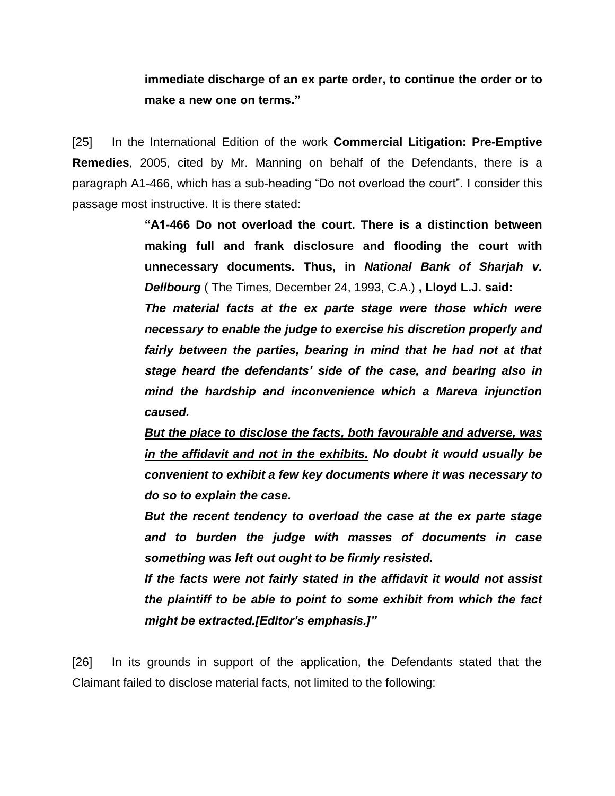## **immediate discharge of an ex parte order, to continue the order or to make a new one on terms."**

[25] In the International Edition of the work **Commercial Litigation: Pre-Emptive Remedies**, 2005, cited by Mr. Manning on behalf of the Defendants, there is a paragraph A1-466, which has a sub-heading "Do not overload the court". I consider this passage most instructive. It is there stated:

> **"A1-466 Do not overload the court. There is a distinction between making full and frank disclosure and flooding the court with unnecessary documents. Thus, in** *National Bank of Sharjah v. Dellbourg* ( The Times, December 24, 1993, C.A.) **, Lloyd L.J. said:**

> *The material facts at the ex parte stage were those which were necessary to enable the judge to exercise his discretion properly and fairly between the parties, bearing in mind that he had not at that stage heard the defendants' side of the case, and bearing also in mind the hardship and inconvenience which a Mareva injunction caused.*

> *But the place to disclose the facts, both favourable and adverse, was in the affidavit and not in the exhibits. No doubt it would usually be convenient to exhibit a few key documents where it was necessary to do so to explain the case.*

> *But the recent tendency to overload the case at the ex parte stage and to burden the judge with masses of documents in case something was left out ought to be firmly resisted.*

> *If the facts were not fairly stated in the affidavit it would not assist the plaintiff to be able to point to some exhibit from which the fact might be extracted.[Editor's emphasis.]"*

[26] In its grounds in support of the application, the Defendants stated that the Claimant failed to disclose material facts, not limited to the following: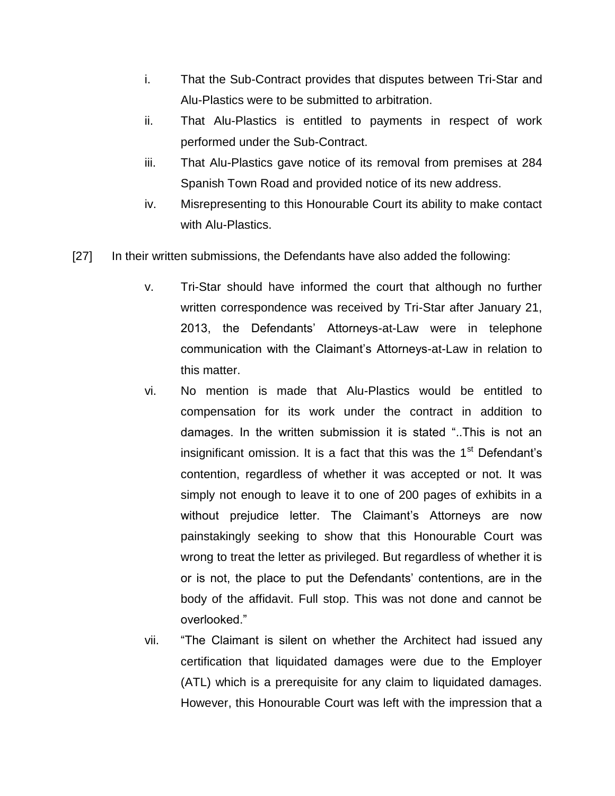- i. That the Sub-Contract provides that disputes between Tri-Star and Alu-Plastics were to be submitted to arbitration.
- ii. That Alu-Plastics is entitled to payments in respect of work performed under the Sub-Contract.
- iii. That Alu-Plastics gave notice of its removal from premises at 284 Spanish Town Road and provided notice of its new address.
- iv. Misrepresenting to this Honourable Court its ability to make contact with Alu-Plastics.
- [27] In their written submissions, the Defendants have also added the following:
	- v. Tri-Star should have informed the court that although no further written correspondence was received by Tri-Star after January 21, 2013, the Defendants' Attorneys-at-Law were in telephone communication with the Claimant's Attorneys-at-Law in relation to this matter.
	- vi. No mention is made that Alu-Plastics would be entitled to compensation for its work under the contract in addition to damages. In the written submission it is stated "..This is not an insignificant omission. It is a fact that this was the  $1<sup>st</sup>$  Defendant's contention, regardless of whether it was accepted or not. It was simply not enough to leave it to one of 200 pages of exhibits in a without prejudice letter. The Claimant's Attorneys are now painstakingly seeking to show that this Honourable Court was wrong to treat the letter as privileged. But regardless of whether it is or is not, the place to put the Defendants' contentions, are in the body of the affidavit. Full stop. This was not done and cannot be overlooked."
	- vii. "The Claimant is silent on whether the Architect had issued any certification that liquidated damages were due to the Employer (ATL) which is a prerequisite for any claim to liquidated damages. However, this Honourable Court was left with the impression that a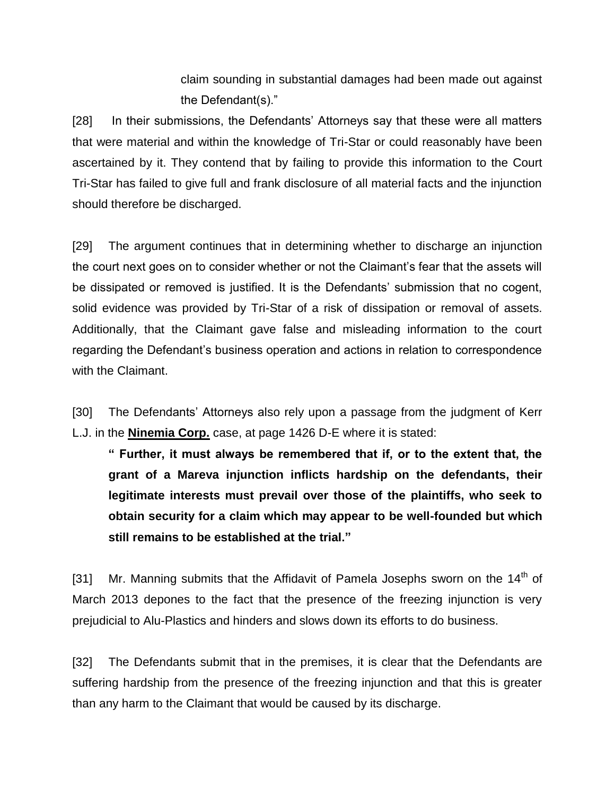claim sounding in substantial damages had been made out against the Defendant(s)."

[28] In their submissions, the Defendants' Attorneys say that these were all matters that were material and within the knowledge of Tri-Star or could reasonably have been ascertained by it. They contend that by failing to provide this information to the Court Tri-Star has failed to give full and frank disclosure of all material facts and the injunction should therefore be discharged.

[29] The argument continues that in determining whether to discharge an injunction the court next goes on to consider whether or not the Claimant's fear that the assets will be dissipated or removed is justified. It is the Defendants' submission that no cogent, solid evidence was provided by Tri-Star of a risk of dissipation or removal of assets. Additionally, that the Claimant gave false and misleading information to the court regarding the Defendant's business operation and actions in relation to correspondence with the Claimant.

[30] The Defendants' Attorneys also rely upon a passage from the judgment of Kerr L.J. in the **Ninemia Corp.** case, at page 1426 D-E where it is stated:

**" Further, it must always be remembered that if, or to the extent that, the grant of a Mareva injunction inflicts hardship on the defendants, their legitimate interests must prevail over those of the plaintiffs, who seek to obtain security for a claim which may appear to be well-founded but which still remains to be established at the trial."**

[31] Mr. Manning submits that the Affidavit of Pamela Josephs sworn on the  $14<sup>th</sup>$  of March 2013 depones to the fact that the presence of the freezing injunction is very prejudicial to Alu-Plastics and hinders and slows down its efforts to do business.

[32] The Defendants submit that in the premises, it is clear that the Defendants are suffering hardship from the presence of the freezing injunction and that this is greater than any harm to the Claimant that would be caused by its discharge.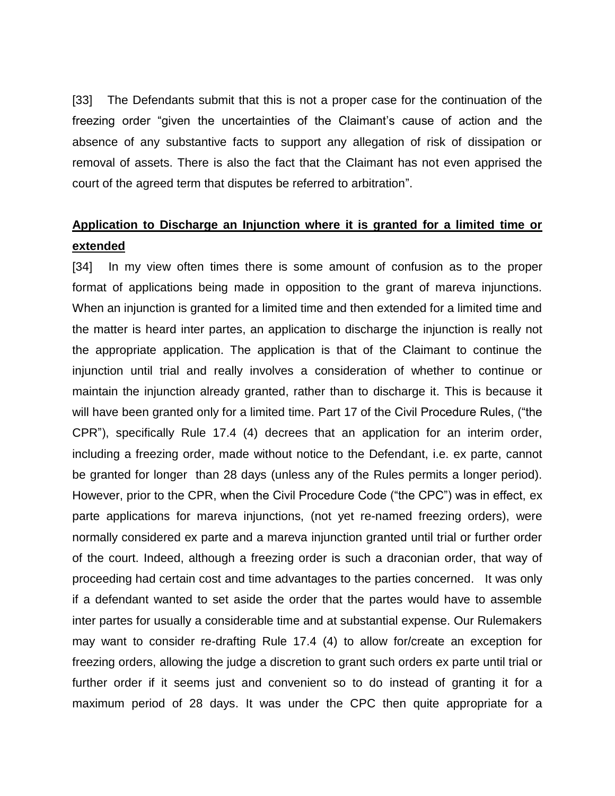[33] The Defendants submit that this is not a proper case for the continuation of the freezing order "given the uncertainties of the Claimant's cause of action and the absence of any substantive facts to support any allegation of risk of dissipation or removal of assets. There is also the fact that the Claimant has not even apprised the court of the agreed term that disputes be referred to arbitration".

## **Application to Discharge an Injunction where it is granted for a limited time or extended**

[34] In my view often times there is some amount of confusion as to the proper format of applications being made in opposition to the grant of mareva injunctions. When an injunction is granted for a limited time and then extended for a limited time and the matter is heard inter partes, an application to discharge the injunction is really not the appropriate application. The application is that of the Claimant to continue the injunction until trial and really involves a consideration of whether to continue or maintain the injunction already granted, rather than to discharge it. This is because it will have been granted only for a limited time. Part 17 of the Civil Procedure Rules, ("the CPR"), specifically Rule 17.4 (4) decrees that an application for an interim order, including a freezing order, made without notice to the Defendant, i.e. ex parte, cannot be granted for longer than 28 days (unless any of the Rules permits a longer period). However, prior to the CPR, when the Civil Procedure Code ("the CPC") was in effect, ex parte applications for mareva injunctions, (not yet re-named freezing orders), were normally considered ex parte and a mareva injunction granted until trial or further order of the court. Indeed, although a freezing order is such a draconian order, that way of proceeding had certain cost and time advantages to the parties concerned. It was only if a defendant wanted to set aside the order that the partes would have to assemble inter partes for usually a considerable time and at substantial expense. Our Rulemakers may want to consider re-drafting Rule 17.4 (4) to allow for/create an exception for freezing orders, allowing the judge a discretion to grant such orders ex parte until trial or further order if it seems just and convenient so to do instead of granting it for a maximum period of 28 days. It was under the CPC then quite appropriate for a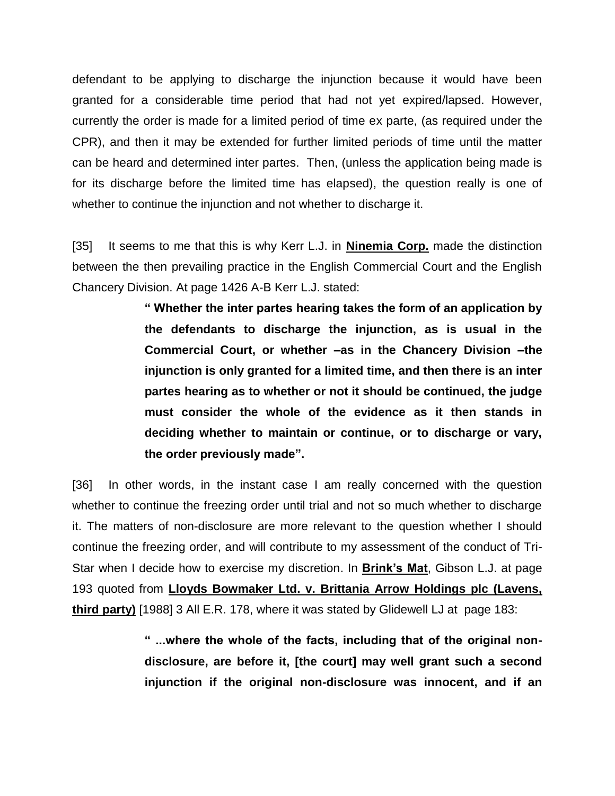defendant to be applying to discharge the injunction because it would have been granted for a considerable time period that had not yet expired/lapsed. However, currently the order is made for a limited period of time ex parte, (as required under the CPR), and then it may be extended for further limited periods of time until the matter can be heard and determined inter partes. Then, (unless the application being made is for its discharge before the limited time has elapsed), the question really is one of whether to continue the injunction and not whether to discharge it.

[35] It seems to me that this is why Kerr L.J. in **Ninemia Corp.** made the distinction between the then prevailing practice in the English Commercial Court and the English Chancery Division. At page 1426 A-B Kerr L.J. stated:

> **" Whether the inter partes hearing takes the form of an application by the defendants to discharge the injunction, as is usual in the Commercial Court, or whether –as in the Chancery Division –the injunction is only granted for a limited time, and then there is an inter partes hearing as to whether or not it should be continued, the judge must consider the whole of the evidence as it then stands in deciding whether to maintain or continue, or to discharge or vary, the order previously made".**

[36] In other words, in the instant case I am really concerned with the question whether to continue the freezing order until trial and not so much whether to discharge it. The matters of non-disclosure are more relevant to the question whether I should continue the freezing order, and will contribute to my assessment of the conduct of Tri-Star when I decide how to exercise my discretion. In **Brink's Mat**, Gibson L.J. at page 193 quoted from **Lloyds Bowmaker Ltd. v. Brittania Arrow Holdings plc (Lavens, third party)** [1988] 3 All E.R. 178, where it was stated by Glidewell LJ at page 183:

> **" ...where the whole of the facts, including that of the original nondisclosure, are before it, [the court] may well grant such a second injunction if the original non-disclosure was innocent, and if an**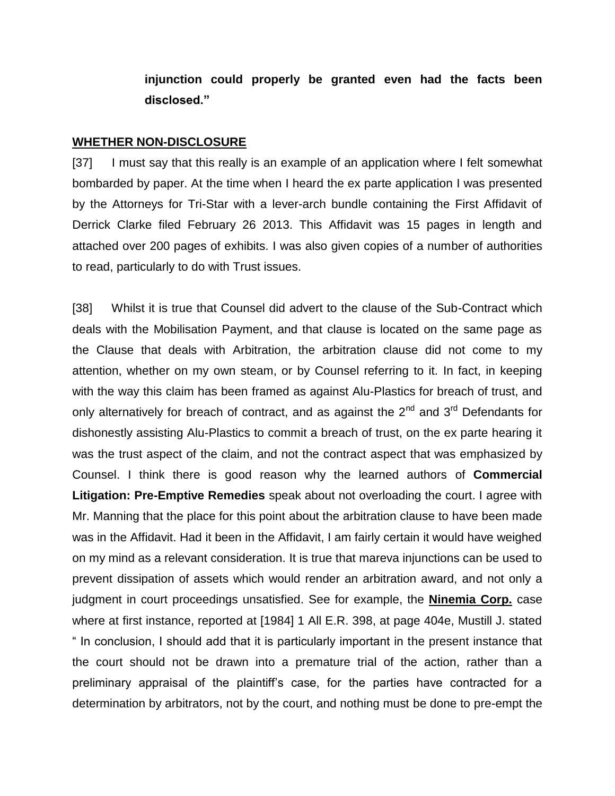**injunction could properly be granted even had the facts been disclosed."**

#### **WHETHER NON-DISCLOSURE**

[37] I must say that this really is an example of an application where I felt somewhat bombarded by paper. At the time when I heard the ex parte application I was presented by the Attorneys for Tri-Star with a lever-arch bundle containing the First Affidavit of Derrick Clarke filed February 26 2013. This Affidavit was 15 pages in length and attached over 200 pages of exhibits. I was also given copies of a number of authorities to read, particularly to do with Trust issues.

[38] Whilst it is true that Counsel did advert to the clause of the Sub-Contract which deals with the Mobilisation Payment, and that clause is located on the same page as the Clause that deals with Arbitration, the arbitration clause did not come to my attention, whether on my own steam, or by Counsel referring to it. In fact, in keeping with the way this claim has been framed as against Alu-Plastics for breach of trust, and only alternatively for breach of contract, and as against the  $2^{nd}$  and  $3^{rd}$  Defendants for dishonestly assisting Alu-Plastics to commit a breach of trust, on the ex parte hearing it was the trust aspect of the claim, and not the contract aspect that was emphasized by Counsel. I think there is good reason why the learned authors of **Commercial Litigation: Pre-Emptive Remedies** speak about not overloading the court. I agree with Mr. Manning that the place for this point about the arbitration clause to have been made was in the Affidavit. Had it been in the Affidavit, I am fairly certain it would have weighed on my mind as a relevant consideration. It is true that mareva injunctions can be used to prevent dissipation of assets which would render an arbitration award, and not only a judgment in court proceedings unsatisfied. See for example, the **Ninemia Corp.** case where at first instance, reported at [1984] 1 All E.R. 398, at page 404e, Mustill J. stated " In conclusion, I should add that it is particularly important in the present instance that the court should not be drawn into a premature trial of the action, rather than a preliminary appraisal of the plaintiff's case, for the parties have contracted for a determination by arbitrators, not by the court, and nothing must be done to pre-empt the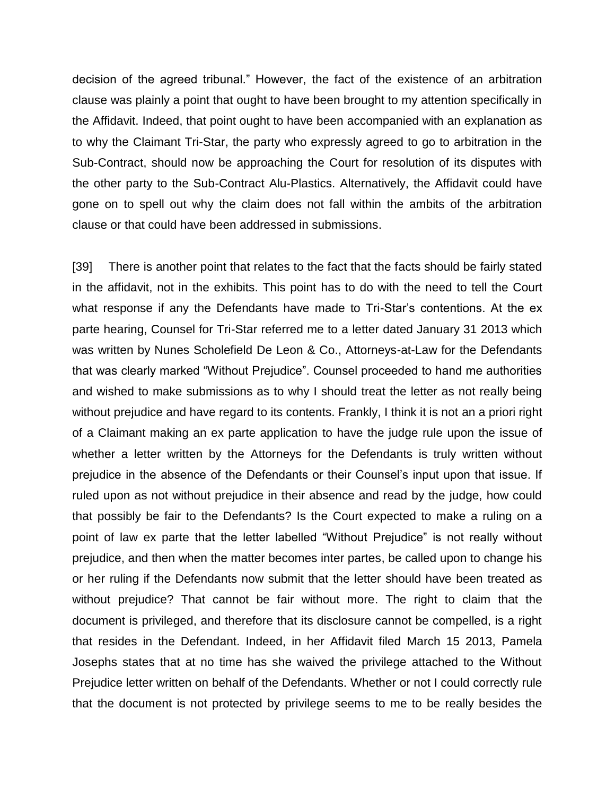decision of the agreed tribunal." However, the fact of the existence of an arbitration clause was plainly a point that ought to have been brought to my attention specifically in the Affidavit. Indeed, that point ought to have been accompanied with an explanation as to why the Claimant Tri-Star, the party who expressly agreed to go to arbitration in the Sub-Contract, should now be approaching the Court for resolution of its disputes with the other party to the Sub-Contract Alu-Plastics. Alternatively, the Affidavit could have gone on to spell out why the claim does not fall within the ambits of the arbitration clause or that could have been addressed in submissions.

[39] There is another point that relates to the fact that the facts should be fairly stated in the affidavit, not in the exhibits. This point has to do with the need to tell the Court what response if any the Defendants have made to Tri-Star's contentions. At the ex parte hearing, Counsel for Tri-Star referred me to a letter dated January 31 2013 which was written by Nunes Scholefield De Leon & Co., Attorneys-at-Law for the Defendants that was clearly marked "Without Prejudice". Counsel proceeded to hand me authorities and wished to make submissions as to why I should treat the letter as not really being without prejudice and have regard to its contents. Frankly, I think it is not an a priori right of a Claimant making an ex parte application to have the judge rule upon the issue of whether a letter written by the Attorneys for the Defendants is truly written without prejudice in the absence of the Defendants or their Counsel's input upon that issue. If ruled upon as not without prejudice in their absence and read by the judge, how could that possibly be fair to the Defendants? Is the Court expected to make a ruling on a point of law ex parte that the letter labelled "Without Prejudice" is not really without prejudice, and then when the matter becomes inter partes, be called upon to change his or her ruling if the Defendants now submit that the letter should have been treated as without prejudice? That cannot be fair without more. The right to claim that the document is privileged, and therefore that its disclosure cannot be compelled, is a right that resides in the Defendant. Indeed, in her Affidavit filed March 15 2013, Pamela Josephs states that at no time has she waived the privilege attached to the Without Prejudice letter written on behalf of the Defendants. Whether or not I could correctly rule that the document is not protected by privilege seems to me to be really besides the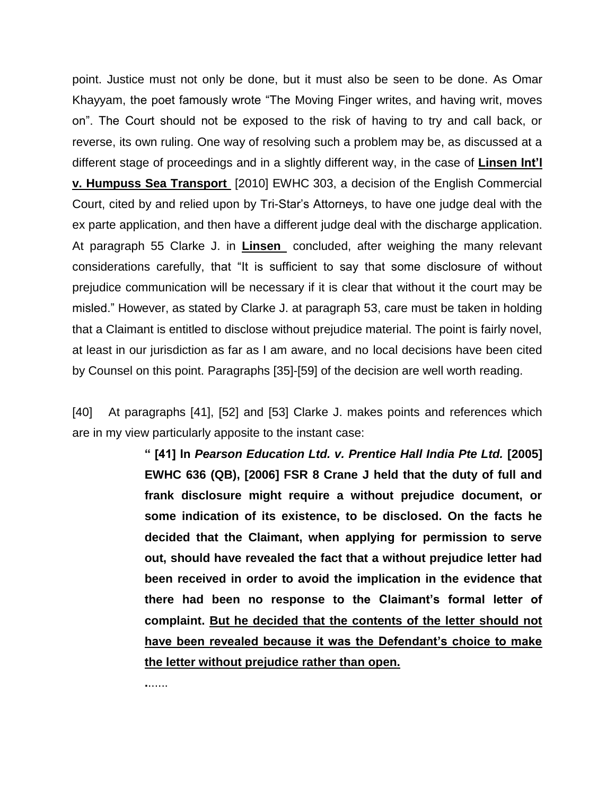point. Justice must not only be done, but it must also be seen to be done. As Omar Khayyam, the poet famously wrote "The Moving Finger writes, and having writ, moves on". The Court should not be exposed to the risk of having to try and call back, or reverse, its own ruling. One way of resolving such a problem may be, as discussed at a different stage of proceedings and in a slightly different way, in the case of **Linsen Int'l v. Humpuss Sea Transport** [2010] EWHC 303, a decision of the English Commercial Court, cited by and relied upon by Tri-Star's Attorneys, to have one judge deal with the ex parte application, and then have a different judge deal with the discharge application. At paragraph 55 Clarke J. in **Linsen** concluded, after weighing the many relevant considerations carefully, that "It is sufficient to say that some disclosure of without prejudice communication will be necessary if it is clear that without it the court may be misled." However, as stated by Clarke J. at paragraph 53, care must be taken in holding that a Claimant is entitled to disclose without prejudice material. The point is fairly novel, at least in our jurisdiction as far as I am aware, and no local decisions have been cited by Counsel on this point. Paragraphs [35]-[59] of the decision are well worth reading.

[40] At paragraphs [41], [52] and [53] Clarke J. makes points and references which are in my view particularly apposite to the instant case:

> **" [41] In** *Pearson Education Ltd. v. Prentice Hall India Pte Ltd.* **[2005] EWHC 636 (QB), [2006] FSR 8 Crane J held that the duty of full and frank disclosure might require a without prejudice document, or some indication of its existence, to be disclosed. On the facts he decided that the Claimant, when applying for permission to serve out, should have revealed the fact that a without prejudice letter had been received in order to avoid the implication in the evidence that there had been no response to the Claimant's formal letter of complaint. But he decided that the contents of the letter should not have been revealed because it was the Defendant's choice to make the letter without prejudice rather than open.**

**.**......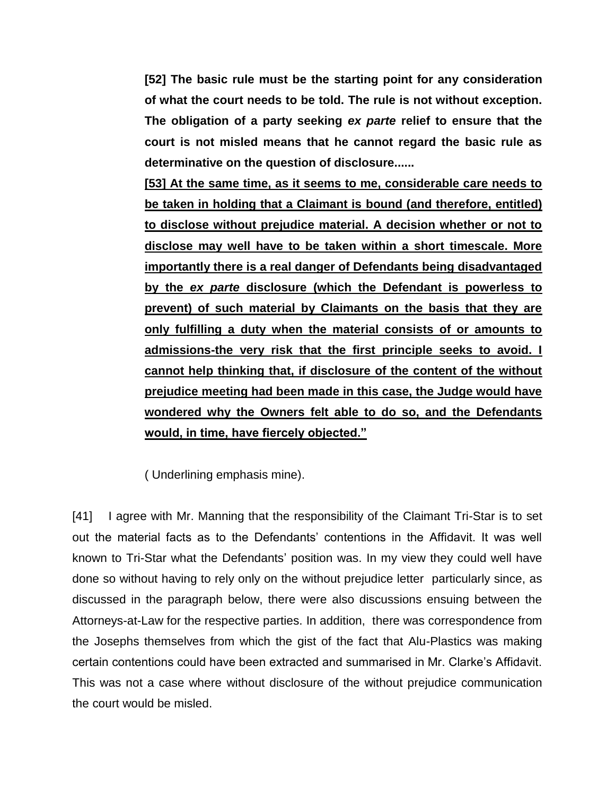**[52] The basic rule must be the starting point for any consideration of what the court needs to be told. The rule is not without exception. The obligation of a party seeking** *ex parte* **relief to ensure that the court is not misled means that he cannot regard the basic rule as determinative on the question of disclosure......**

**[53] At the same time, as it seems to me, considerable care needs to be taken in holding that a Claimant is bound (and therefore, entitled) to disclose without prejudice material. A decision whether or not to disclose may well have to be taken within a short timescale. More importantly there is a real danger of Defendants being disadvantaged by the** *ex parte* **disclosure (which the Defendant is powerless to prevent) of such material by Claimants on the basis that they are only fulfilling a duty when the material consists of or amounts to admissions-the very risk that the first principle seeks to avoid. I cannot help thinking that, if disclosure of the content of the without prejudice meeting had been made in this case, the Judge would have wondered why the Owners felt able to do so, and the Defendants would, in time, have fiercely objected."**

( Underlining emphasis mine).

[41] I agree with Mr. Manning that the responsibility of the Claimant Tri-Star is to set out the material facts as to the Defendants' contentions in the Affidavit. It was well known to Tri-Star what the Defendants' position was. In my view they could well have done so without having to rely only on the without prejudice letter particularly since, as discussed in the paragraph below, there were also discussions ensuing between the Attorneys-at-Law for the respective parties. In addition, there was correspondence from the Josephs themselves from which the gist of the fact that Alu-Plastics was making certain contentions could have been extracted and summarised in Mr. Clarke's Affidavit. This was not a case where without disclosure of the without prejudice communication the court would be misled.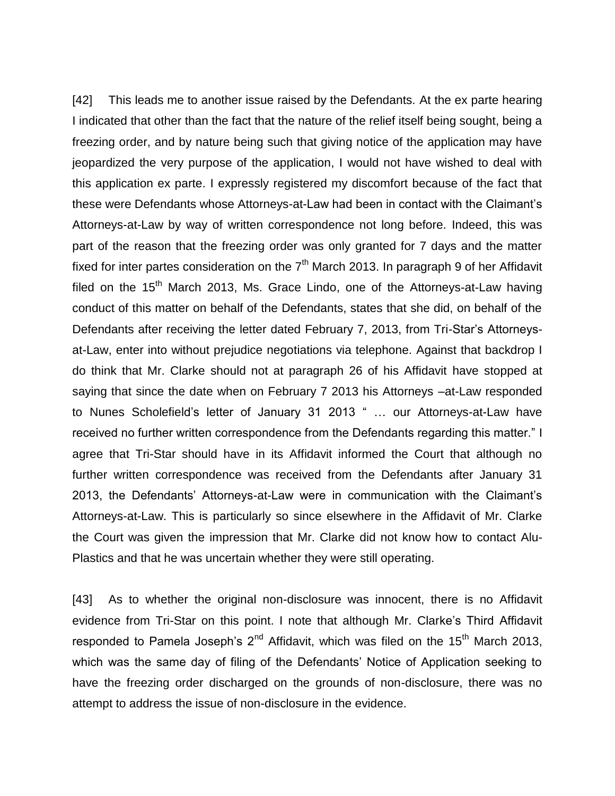[42] This leads me to another issue raised by the Defendants. At the ex parte hearing I indicated that other than the fact that the nature of the relief itself being sought, being a freezing order, and by nature being such that giving notice of the application may have jeopardized the very purpose of the application, I would not have wished to deal with this application ex parte. I expressly registered my discomfort because of the fact that these were Defendants whose Attorneys-at-Law had been in contact with the Claimant's Attorneys-at-Law by way of written correspondence not long before. Indeed, this was part of the reason that the freezing order was only granted for 7 days and the matter fixed for inter partes consideration on the  $7<sup>th</sup>$  March 2013. In paragraph 9 of her Affidavit filed on the  $15<sup>th</sup>$  March 2013, Ms. Grace Lindo, one of the Attorneys-at-Law having conduct of this matter on behalf of the Defendants, states that she did, on behalf of the Defendants after receiving the letter dated February 7, 2013, from Tri-Star's Attorneysat-Law, enter into without prejudice negotiations via telephone. Against that backdrop I do think that Mr. Clarke should not at paragraph 26 of his Affidavit have stopped at saying that since the date when on February 7 2013 his Attorneys –at-Law responded to Nunes Scholefield's letter of January 31 2013 " … our Attorneys-at-Law have received no further written correspondence from the Defendants regarding this matter." I agree that Tri-Star should have in its Affidavit informed the Court that although no further written correspondence was received from the Defendants after January 31 2013, the Defendants' Attorneys-at-Law were in communication with the Claimant's Attorneys-at-Law. This is particularly so since elsewhere in the Affidavit of Mr. Clarke the Court was given the impression that Mr. Clarke did not know how to contact Alu-Plastics and that he was uncertain whether they were still operating.

[43] As to whether the original non-disclosure was innocent, there is no Affidavit evidence from Tri-Star on this point. I note that although Mr. Clarke's Third Affidavit responded to Pamela Joseph's  $2^{nd}$  Affidavit, which was filed on the 15<sup>th</sup> March 2013, which was the same day of filing of the Defendants' Notice of Application seeking to have the freezing order discharged on the grounds of non-disclosure, there was no attempt to address the issue of non-disclosure in the evidence.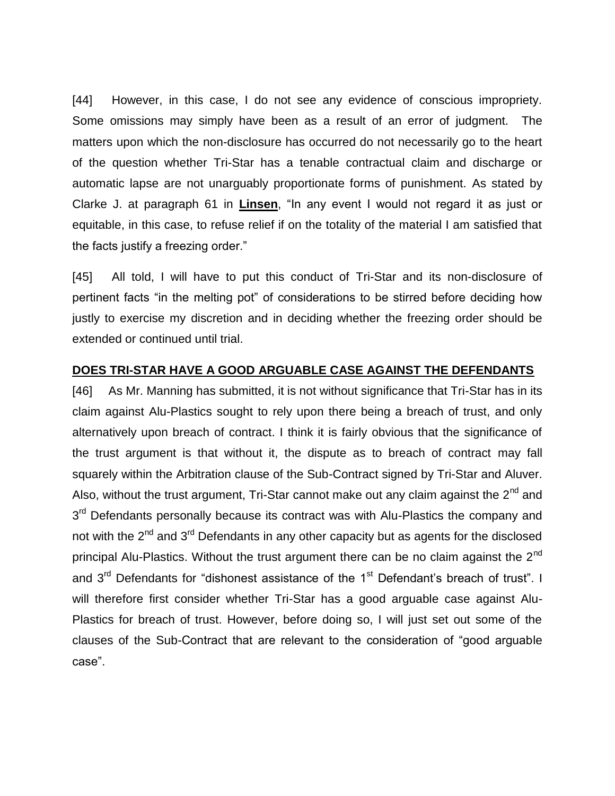[44] However, in this case, I do not see any evidence of conscious impropriety. Some omissions may simply have been as a result of an error of judgment. The matters upon which the non-disclosure has occurred do not necessarily go to the heart of the question whether Tri-Star has a tenable contractual claim and discharge or automatic lapse are not unarguably proportionate forms of punishment. As stated by Clarke J. at paragraph 61 in **Linsen**, "In any event I would not regard it as just or equitable, in this case, to refuse relief if on the totality of the material I am satisfied that the facts justify a freezing order."

[45] All told, I will have to put this conduct of Tri-Star and its non-disclosure of pertinent facts "in the melting pot" of considerations to be stirred before deciding how justly to exercise my discretion and in deciding whether the freezing order should be extended or continued until trial.

## **DOES TRI-STAR HAVE A GOOD ARGUABLE CASE AGAINST THE DEFENDANTS**

[46] As Mr. Manning has submitted, it is not without significance that Tri-Star has in its claim against Alu-Plastics sought to rely upon there being a breach of trust, and only alternatively upon breach of contract. I think it is fairly obvious that the significance of the trust argument is that without it, the dispute as to breach of contract may fall squarely within the Arbitration clause of the Sub-Contract signed by Tri-Star and Aluver. Also, without the trust argument, Tri-Star cannot make out any claim against the  $2^{nd}$  and 3<sup>rd</sup> Defendants personally because its contract was with Alu-Plastics the company and not with the 2<sup>nd</sup> and 3<sup>rd</sup> Defendants in any other capacity but as agents for the disclosed principal Alu-Plastics. Without the trust argument there can be no claim against the  $2<sup>nd</sup>$ and 3<sup>rd</sup> Defendants for "dishonest assistance of the 1<sup>st</sup> Defendant's breach of trust". I will therefore first consider whether Tri-Star has a good arguable case against Alu-Plastics for breach of trust. However, before doing so, I will just set out some of the clauses of the Sub-Contract that are relevant to the consideration of "good arguable case".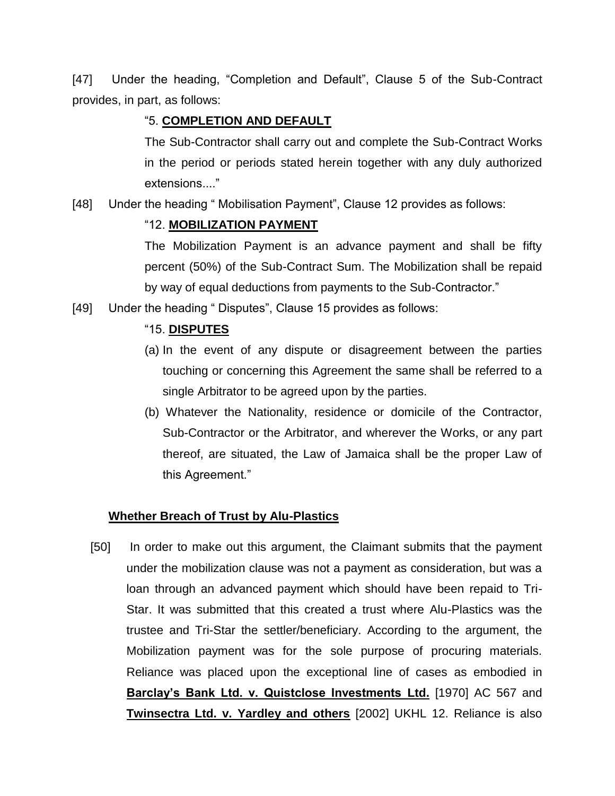[47] Under the heading, "Completion and Default", Clause 5 of the Sub-Contract provides, in part, as follows:

## "5. **COMPLETION AND DEFAULT**

The Sub-Contractor shall carry out and complete the Sub-Contract Works in the period or periods stated herein together with any duly authorized extensions...."

[48] Under the heading "Mobilisation Payment", Clause 12 provides as follows:

## "12. **MOBILIZATION PAYMENT**

The Mobilization Payment is an advance payment and shall be fifty percent (50%) of the Sub-Contract Sum. The Mobilization shall be repaid by way of equal deductions from payments to the Sub-Contractor."

[49] Under the heading "Disputes", Clause 15 provides as follows:

## "15. **DISPUTES**

- (a) In the event of any dispute or disagreement between the parties touching or concerning this Agreement the same shall be referred to a single Arbitrator to be agreed upon by the parties.
- (b) Whatever the Nationality, residence or domicile of the Contractor, Sub-Contractor or the Arbitrator, and wherever the Works, or any part thereof, are situated, the Law of Jamaica shall be the proper Law of this Agreement."

## **Whether Breach of Trust by Alu-Plastics**

[50] In order to make out this argument, the Claimant submits that the payment under the mobilization clause was not a payment as consideration, but was a loan through an advanced payment which should have been repaid to Tri-Star. It was submitted that this created a trust where Alu-Plastics was the trustee and Tri-Star the settler/beneficiary. According to the argument, the Mobilization payment was for the sole purpose of procuring materials. Reliance was placed upon the exceptional line of cases as embodied in **Barclay's Bank Ltd. v. Quistclose Investments Ltd.** [1970] AC 567 and **Twinsectra Ltd. v. Yardley and others** [2002] UKHL 12. Reliance is also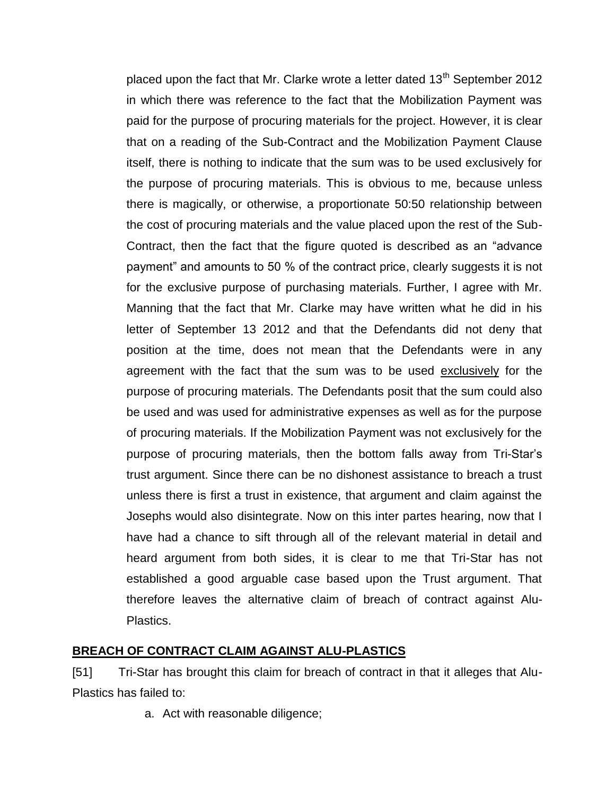placed upon the fact that Mr. Clarke wrote a letter dated  $13<sup>th</sup>$  September 2012 in which there was reference to the fact that the Mobilization Payment was paid for the purpose of procuring materials for the project. However, it is clear that on a reading of the Sub-Contract and the Mobilization Payment Clause itself, there is nothing to indicate that the sum was to be used exclusively for the purpose of procuring materials. This is obvious to me, because unless there is magically, or otherwise, a proportionate 50:50 relationship between the cost of procuring materials and the value placed upon the rest of the Sub-Contract, then the fact that the figure quoted is described as an "advance payment" and amounts to 50 % of the contract price, clearly suggests it is not for the exclusive purpose of purchasing materials. Further, I agree with Mr. Manning that the fact that Mr. Clarke may have written what he did in his letter of September 13 2012 and that the Defendants did not deny that position at the time, does not mean that the Defendants were in any agreement with the fact that the sum was to be used exclusively for the purpose of procuring materials. The Defendants posit that the sum could also be used and was used for administrative expenses as well as for the purpose of procuring materials. If the Mobilization Payment was not exclusively for the purpose of procuring materials, then the bottom falls away from Tri-Star's trust argument. Since there can be no dishonest assistance to breach a trust unless there is first a trust in existence, that argument and claim against the Josephs would also disintegrate. Now on this inter partes hearing, now that I have had a chance to sift through all of the relevant material in detail and heard argument from both sides, it is clear to me that Tri-Star has not established a good arguable case based upon the Trust argument. That therefore leaves the alternative claim of breach of contract against Alu-Plastics.

## **BREACH OF CONTRACT CLAIM AGAINST ALU-PLASTICS**

[51] Tri-Star has brought this claim for breach of contract in that it alleges that Alu-Plastics has failed to:

a. Act with reasonable diligence;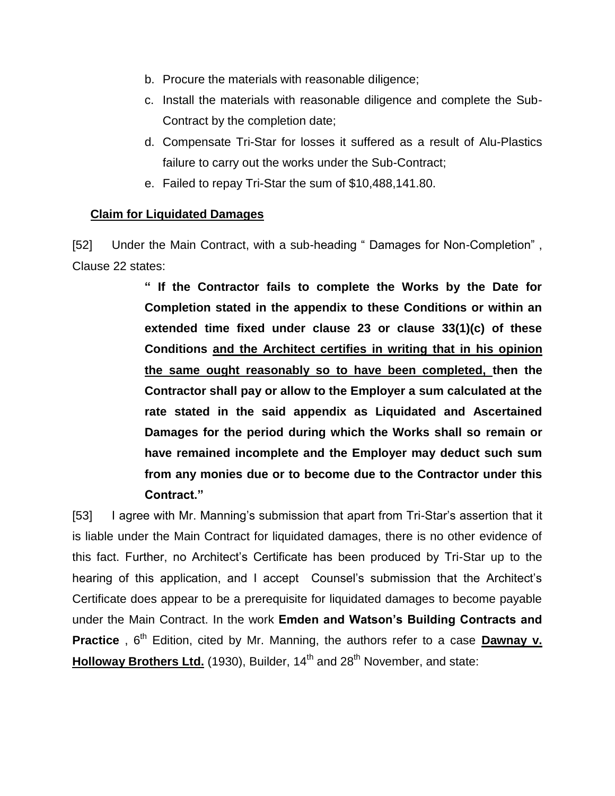- b. Procure the materials with reasonable diligence;
- c. Install the materials with reasonable diligence and complete the Sub-Contract by the completion date;
- d. Compensate Tri-Star for losses it suffered as a result of Alu-Plastics failure to carry out the works under the Sub-Contract;
- e. Failed to repay Tri-Star the sum of \$10,488,141.80.

### **Claim for Liquidated Damages**

[52] Under the Main Contract, with a sub-heading " Damages for Non-Completion" , Clause 22 states:

> **" If the Contractor fails to complete the Works by the Date for Completion stated in the appendix to these Conditions or within an extended time fixed under clause 23 or clause 33(1)(c) of these Conditions and the Architect certifies in writing that in his opinion the same ought reasonably so to have been completed, then the Contractor shall pay or allow to the Employer a sum calculated at the rate stated in the said appendix as Liquidated and Ascertained Damages for the period during which the Works shall so remain or have remained incomplete and the Employer may deduct such sum from any monies due or to become due to the Contractor under this Contract."**

[53] I agree with Mr. Manning's submission that apart from Tri-Star's assertion that it is liable under the Main Contract for liquidated damages, there is no other evidence of this fact. Further, no Architect's Certificate has been produced by Tri-Star up to the hearing of this application, and I accept Counsel's submission that the Architect's Certificate does appear to be a prerequisite for liquidated damages to become payable under the Main Contract. In the work **Emden and Watson's Building Contracts and Practice**, 6<sup>th</sup> Edition, cited by Mr. Manning, the authors refer to a case **Dawnay v. Holloway Brothers Ltd.** (1930), Builder, 14<sup>th</sup> and 28<sup>th</sup> November, and state: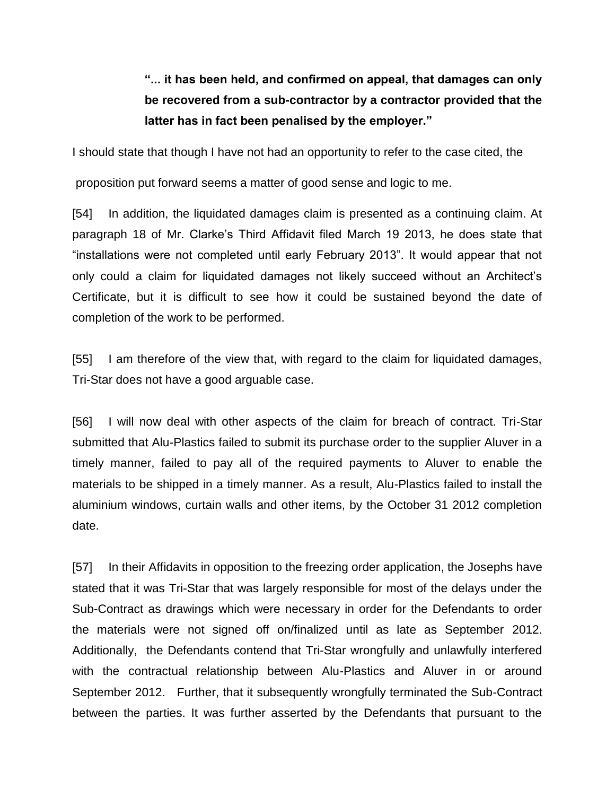# **"... it has been held, and confirmed on appeal, that damages can only be recovered from a sub-contractor by a contractor provided that the latter has in fact been penalised by the employer."**

I should state that though I have not had an opportunity to refer to the case cited, the

proposition put forward seems a matter of good sense and logic to me.

[54] In addition, the liquidated damages claim is presented as a continuing claim. At paragraph 18 of Mr. Clarke's Third Affidavit filed March 19 2013, he does state that "installations were not completed until early February 2013". It would appear that not only could a claim for liquidated damages not likely succeed without an Architect's Certificate, but it is difficult to see how it could be sustained beyond the date of completion of the work to be performed.

[55] I am therefore of the view that, with regard to the claim for liquidated damages, Tri-Star does not have a good arguable case.

[56] I will now deal with other aspects of the claim for breach of contract. Tri-Star submitted that Alu-Plastics failed to submit its purchase order to the supplier Aluver in a timely manner, failed to pay all of the required payments to Aluver to enable the materials to be shipped in a timely manner. As a result, Alu-Plastics failed to install the aluminium windows, curtain walls and other items, by the October 31 2012 completion date.

[57] In their Affidavits in opposition to the freezing order application, the Josephs have stated that it was Tri-Star that was largely responsible for most of the delays under the Sub-Contract as drawings which were necessary in order for the Defendants to order the materials were not signed off on/finalized until as late as September 2012. Additionally, the Defendants contend that Tri-Star wrongfully and unlawfully interfered with the contractual relationship between Alu-Plastics and Aluver in or around September 2012. Further, that it subsequently wrongfully terminated the Sub-Contract between the parties. It was further asserted by the Defendants that pursuant to the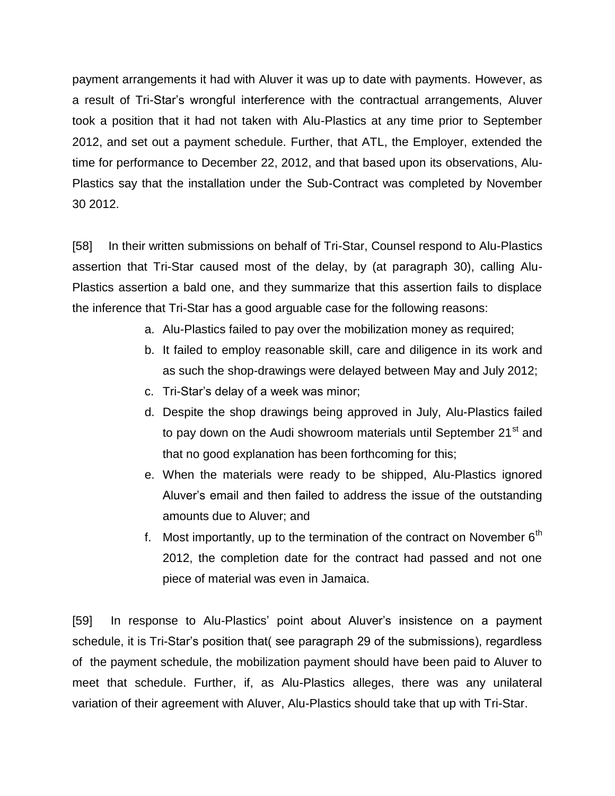payment arrangements it had with Aluver it was up to date with payments. However, as a result of Tri-Star's wrongful interference with the contractual arrangements, Aluver took a position that it had not taken with Alu-Plastics at any time prior to September 2012, and set out a payment schedule. Further, that ATL, the Employer, extended the time for performance to December 22, 2012, and that based upon its observations, Alu-Plastics say that the installation under the Sub-Contract was completed by November 30 2012.

[58] In their written submissions on behalf of Tri-Star, Counsel respond to Alu-Plastics assertion that Tri-Star caused most of the delay, by (at paragraph 30), calling Alu-Plastics assertion a bald one, and they summarize that this assertion fails to displace the inference that Tri-Star has a good arguable case for the following reasons:

- a. Alu-Plastics failed to pay over the mobilization money as required;
- b. It failed to employ reasonable skill, care and diligence in its work and as such the shop-drawings were delayed between May and July 2012;
- c. Tri-Star's delay of a week was minor;
- d. Despite the shop drawings being approved in July, Alu-Plastics failed to pay down on the Audi showroom materials until September 21<sup>st</sup> and that no good explanation has been forthcoming for this;
- e. When the materials were ready to be shipped, Alu-Plastics ignored Aluver's email and then failed to address the issue of the outstanding amounts due to Aluver; and
- f. Most importantly, up to the termination of the contract on November  $6<sup>th</sup>$ 2012, the completion date for the contract had passed and not one piece of material was even in Jamaica.

[59] In response to Alu-Plastics' point about Aluver's insistence on a payment schedule, it is Tri-Star's position that( see paragraph 29 of the submissions), regardless of the payment schedule, the mobilization payment should have been paid to Aluver to meet that schedule. Further, if, as Alu-Plastics alleges, there was any unilateral variation of their agreement with Aluver, Alu-Plastics should take that up with Tri-Star.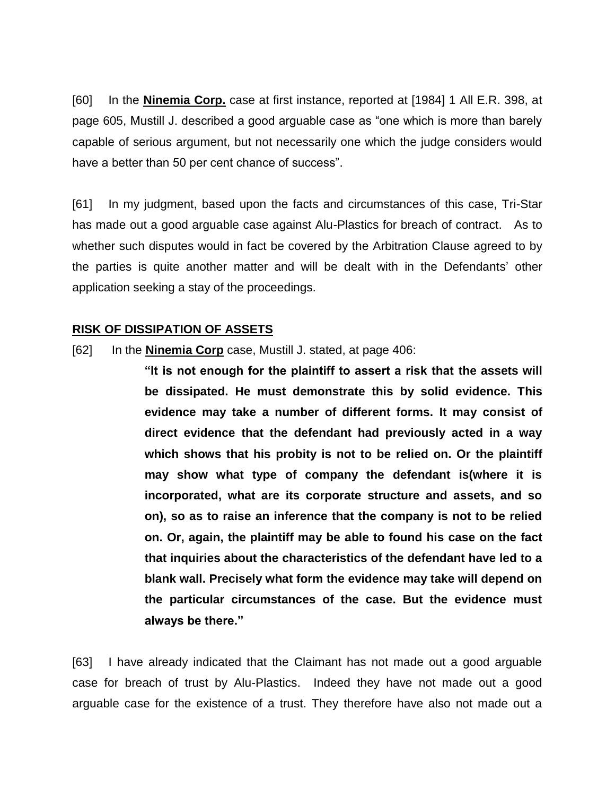[60] In the **Ninemia Corp.** case at first instance, reported at [1984] 1 All E.R. 398, at page 605, Mustill J. described a good arguable case as "one which is more than barely capable of serious argument, but not necessarily one which the judge considers would have a better than 50 per cent chance of success".

[61] In my judgment, based upon the facts and circumstances of this case, Tri-Star has made out a good arguable case against Alu-Plastics for breach of contract. As to whether such disputes would in fact be covered by the Arbitration Clause agreed to by the parties is quite another matter and will be dealt with in the Defendants' other application seeking a stay of the proceedings.

## **RISK OF DISSIPATION OF ASSETS**

[62] In the **Ninemia Corp** case, Mustill J. stated, at page 406:

**"It is not enough for the plaintiff to assert a risk that the assets will be dissipated. He must demonstrate this by solid evidence. This evidence may take a number of different forms. It may consist of direct evidence that the defendant had previously acted in a way which shows that his probity is not to be relied on. Or the plaintiff may show what type of company the defendant is(where it is incorporated, what are its corporate structure and assets, and so on), so as to raise an inference that the company is not to be relied on. Or, again, the plaintiff may be able to found his case on the fact that inquiries about the characteristics of the defendant have led to a blank wall. Precisely what form the evidence may take will depend on the particular circumstances of the case. But the evidence must always be there."**

[63] I have already indicated that the Claimant has not made out a good arguable case for breach of trust by Alu-Plastics. Indeed they have not made out a good arguable case for the existence of a trust. They therefore have also not made out a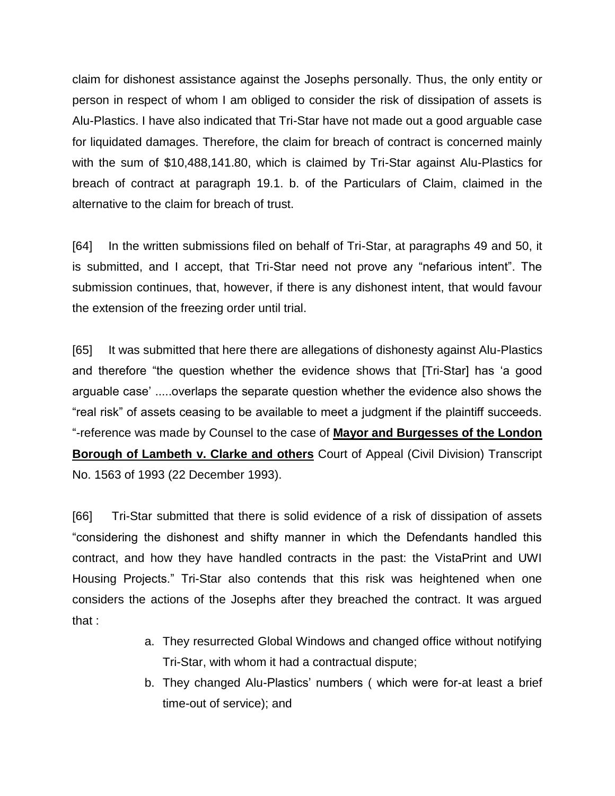claim for dishonest assistance against the Josephs personally. Thus, the only entity or person in respect of whom I am obliged to consider the risk of dissipation of assets is Alu-Plastics. I have also indicated that Tri-Star have not made out a good arguable case for liquidated damages. Therefore, the claim for breach of contract is concerned mainly with the sum of \$10,488,141.80, which is claimed by Tri-Star against Alu-Plastics for breach of contract at paragraph 19.1. b. of the Particulars of Claim, claimed in the alternative to the claim for breach of trust.

[64] In the written submissions filed on behalf of Tri-Star, at paragraphs 49 and 50, it is submitted, and I accept, that Tri-Star need not prove any "nefarious intent". The submission continues, that, however, if there is any dishonest intent, that would favour the extension of the freezing order until trial.

[65] It was submitted that here there are allegations of dishonesty against Alu-Plastics and therefore "the question whether the evidence shows that [Tri-Star] has 'a good arguable case' .....overlaps the separate question whether the evidence also shows the "real risk" of assets ceasing to be available to meet a judgment if the plaintiff succeeds. "-reference was made by Counsel to the case of **Mayor and Burgesses of the London Borough of Lambeth v. Clarke and others** Court of Appeal (Civil Division) Transcript No. 1563 of 1993 (22 December 1993).

[66] Tri-Star submitted that there is solid evidence of a risk of dissipation of assets "considering the dishonest and shifty manner in which the Defendants handled this contract, and how they have handled contracts in the past: the VistaPrint and UWI Housing Projects." Tri-Star also contends that this risk was heightened when one considers the actions of the Josephs after they breached the contract. It was argued that :

- a. They resurrected Global Windows and changed office without notifying Tri-Star, with whom it had a contractual dispute;
- b. They changed Alu-Plastics' numbers ( which were for-at least a brief time-out of service); and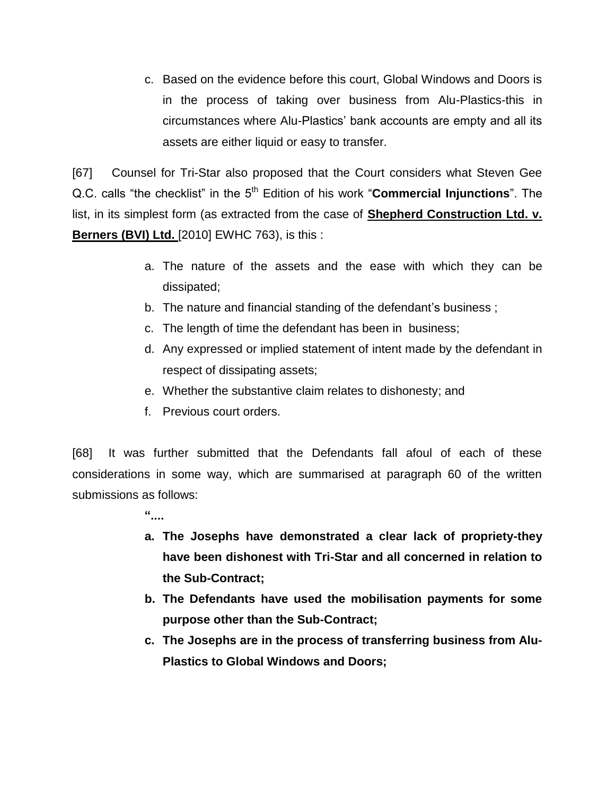c. Based on the evidence before this court, Global Windows and Doors is in the process of taking over business from Alu-Plastics-this in circumstances where Alu-Plastics' bank accounts are empty and all its assets are either liquid or easy to transfer.

[67] Counsel for Tri-Star also proposed that the Court considers what Steven Gee Q.C. calls "the checklist" in the 5<sup>th</sup> Edition of his work "**Commercial Injunctions**". The list, in its simplest form (as extracted from the case of **Shepherd Construction Ltd. v. Berners (BVI) Ltd.** [2010] EWHC 763), is this :

- a. The nature of the assets and the ease with which they can be dissipated;
- b. The nature and financial standing of the defendant's business ;
- c. The length of time the defendant has been in business;
- d. Any expressed or implied statement of intent made by the defendant in respect of dissipating assets;
- e. Whether the substantive claim relates to dishonesty; and
- f. Previous court orders.

[68] It was further submitted that the Defendants fall afoul of each of these considerations in some way, which are summarised at paragraph 60 of the written submissions as follows:

- **"....**
- **a. The Josephs have demonstrated a clear lack of propriety-they have been dishonest with Tri-Star and all concerned in relation to the Sub-Contract;**
- **b. The Defendants have used the mobilisation payments for some purpose other than the Sub-Contract;**
- **c. The Josephs are in the process of transferring business from Alu-Plastics to Global Windows and Doors;**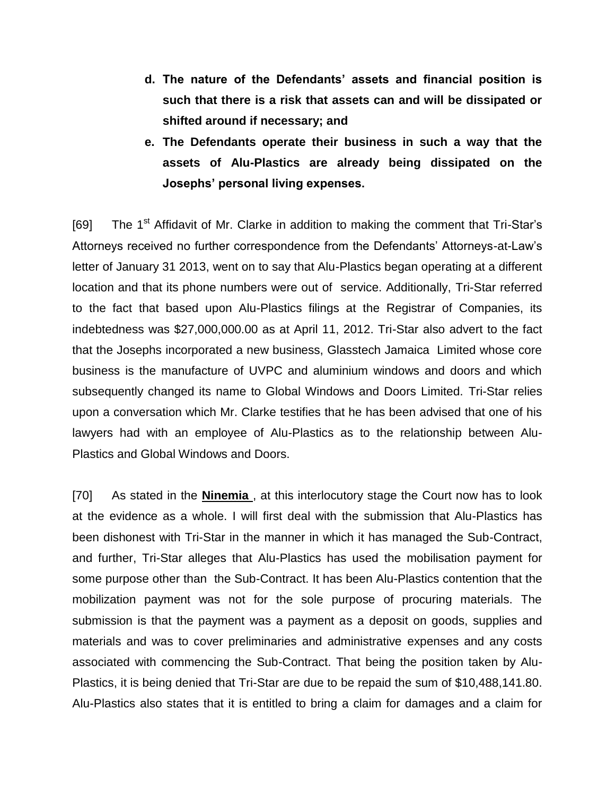- **d. The nature of the Defendants' assets and financial position is such that there is a risk that assets can and will be dissipated or shifted around if necessary; and**
- **e. The Defendants operate their business in such a way that the assets of Alu-Plastics are already being dissipated on the Josephs' personal living expenses.**

[69] The 1<sup>st</sup> Affidavit of Mr. Clarke in addition to making the comment that Tri-Star's Attorneys received no further correspondence from the Defendants' Attorneys-at-Law's letter of January 31 2013, went on to say that Alu-Plastics began operating at a different location and that its phone numbers were out of service. Additionally, Tri-Star referred to the fact that based upon Alu-Plastics filings at the Registrar of Companies, its indebtedness was \$27,000,000.00 as at April 11, 2012. Tri-Star also advert to the fact that the Josephs incorporated a new business, Glasstech Jamaica Limited whose core business is the manufacture of UVPC and aluminium windows and doors and which subsequently changed its name to Global Windows and Doors Limited. Tri-Star relies upon a conversation which Mr. Clarke testifies that he has been advised that one of his lawyers had with an employee of Alu-Plastics as to the relationship between Alu-Plastics and Global Windows and Doors.

[70] As stated in the **Ninemia** , at this interlocutory stage the Court now has to look at the evidence as a whole. I will first deal with the submission that Alu-Plastics has been dishonest with Tri-Star in the manner in which it has managed the Sub-Contract, and further, Tri-Star alleges that Alu-Plastics has used the mobilisation payment for some purpose other than the Sub-Contract. It has been Alu-Plastics contention that the mobilization payment was not for the sole purpose of procuring materials. The submission is that the payment was a payment as a deposit on goods, supplies and materials and was to cover preliminaries and administrative expenses and any costs associated with commencing the Sub-Contract. That being the position taken by Alu-Plastics, it is being denied that Tri-Star are due to be repaid the sum of \$10,488,141.80. Alu-Plastics also states that it is entitled to bring a claim for damages and a claim for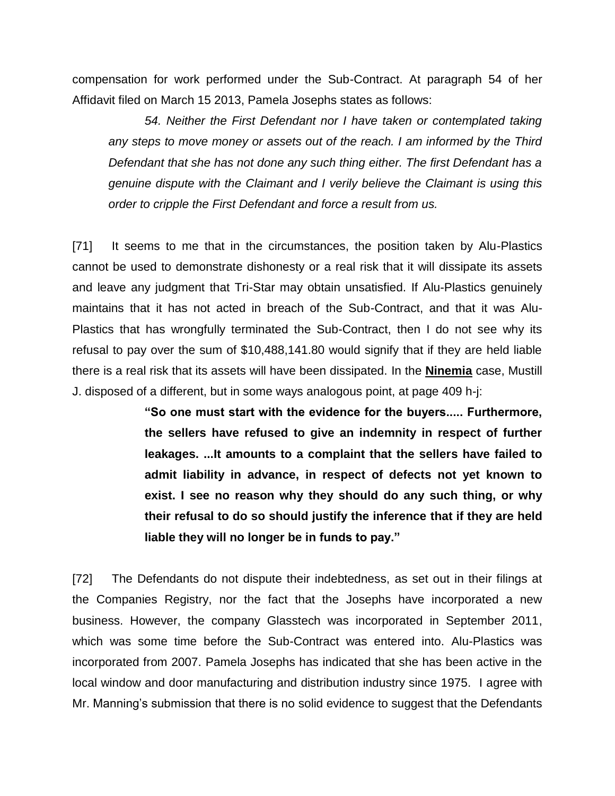compensation for work performed under the Sub-Contract. At paragraph 54 of her Affidavit filed on March 15 2013, Pamela Josephs states as follows:

*54. Neither the First Defendant nor I have taken or contemplated taking any steps to move money or assets out of the reach. I am informed by the Third Defendant that she has not done any such thing either. The first Defendant has a genuine dispute with the Claimant and I verily believe the Claimant is using this order to cripple the First Defendant and force a result from us.*

[71] It seems to me that in the circumstances, the position taken by Alu-Plastics cannot be used to demonstrate dishonesty or a real risk that it will dissipate its assets and leave any judgment that Tri-Star may obtain unsatisfied. If Alu-Plastics genuinely maintains that it has not acted in breach of the Sub-Contract, and that it was Alu-Plastics that has wrongfully terminated the Sub-Contract, then I do not see why its refusal to pay over the sum of \$10,488,141.80 would signify that if they are held liable there is a real risk that its assets will have been dissipated. In the **Ninemia** case, Mustill J. disposed of a different, but in some ways analogous point, at page 409 h-j:

> **"So one must start with the evidence for the buyers..... Furthermore, the sellers have refused to give an indemnity in respect of further leakages. ...It amounts to a complaint that the sellers have failed to admit liability in advance, in respect of defects not yet known to exist. I see no reason why they should do any such thing, or why their refusal to do so should justify the inference that if they are held liable they will no longer be in funds to pay."**

[72] The Defendants do not dispute their indebtedness, as set out in their filings at the Companies Registry, nor the fact that the Josephs have incorporated a new business. However, the company Glasstech was incorporated in September 2011, which was some time before the Sub-Contract was entered into. Alu-Plastics was incorporated from 2007. Pamela Josephs has indicated that she has been active in the local window and door manufacturing and distribution industry since 1975. I agree with Mr. Manning's submission that there is no solid evidence to suggest that the Defendants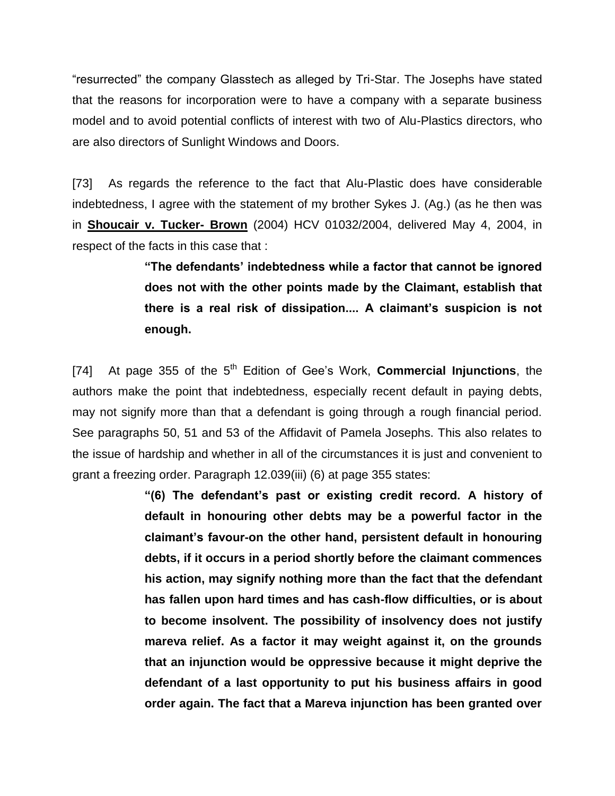"resurrected" the company Glasstech as alleged by Tri-Star. The Josephs have stated that the reasons for incorporation were to have a company with a separate business model and to avoid potential conflicts of interest with two of Alu-Plastics directors, who are also directors of Sunlight Windows and Doors.

[73] As regards the reference to the fact that Alu-Plastic does have considerable indebtedness, I agree with the statement of my brother Sykes J. (Ag.) (as he then was in **Shoucair v. Tucker- Brown** (2004) HCV 01032/2004, delivered May 4, 2004, in respect of the facts in this case that :

> **"The defendants' indebtedness while a factor that cannot be ignored does not with the other points made by the Claimant, establish that there is a real risk of dissipation.... A claimant's suspicion is not enough.**

[74] At page 355 of the 5th Edition of Gee's Work, **Commercial Injunctions**, the authors make the point that indebtedness, especially recent default in paying debts, may not signify more than that a defendant is going through a rough financial period. See paragraphs 50, 51 and 53 of the Affidavit of Pamela Josephs. This also relates to the issue of hardship and whether in all of the circumstances it is just and convenient to grant a freezing order. Paragraph 12.039(iii) (6) at page 355 states:

> **"(6) The defendant's past or existing credit record. A history of default in honouring other debts may be a powerful factor in the claimant's favour-on the other hand, persistent default in honouring debts, if it occurs in a period shortly before the claimant commences his action, may signify nothing more than the fact that the defendant has fallen upon hard times and has cash-flow difficulties, or is about to become insolvent. The possibility of insolvency does not justify mareva relief. As a factor it may weight against it, on the grounds that an injunction would be oppressive because it might deprive the defendant of a last opportunity to put his business affairs in good order again. The fact that a Mareva injunction has been granted over**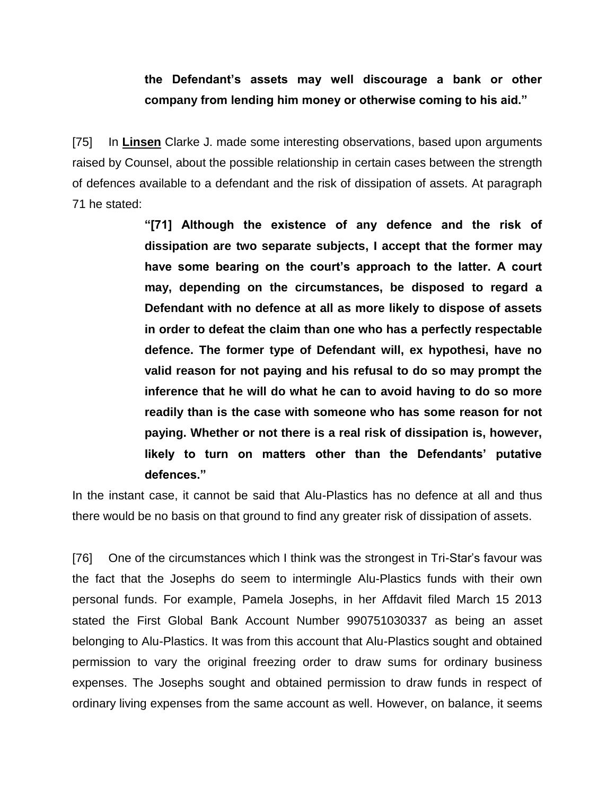## **the Defendant's assets may well discourage a bank or other company from lending him money or otherwise coming to his aid."**

[75] In **Linsen** Clarke J. made some interesting observations, based upon arguments raised by Counsel, about the possible relationship in certain cases between the strength of defences available to a defendant and the risk of dissipation of assets. At paragraph 71 he stated:

> **"[71] Although the existence of any defence and the risk of dissipation are two separate subjects, I accept that the former may have some bearing on the court's approach to the latter. A court may, depending on the circumstances, be disposed to regard a Defendant with no defence at all as more likely to dispose of assets in order to defeat the claim than one who has a perfectly respectable defence. The former type of Defendant will, ex hypothesi, have no valid reason for not paying and his refusal to do so may prompt the inference that he will do what he can to avoid having to do so more readily than is the case with someone who has some reason for not paying. Whether or not there is a real risk of dissipation is, however, likely to turn on matters other than the Defendants' putative defences."**

In the instant case, it cannot be said that Alu-Plastics has no defence at all and thus there would be no basis on that ground to find any greater risk of dissipation of assets.

[76] One of the circumstances which I think was the strongest in Tri-Star's favour was the fact that the Josephs do seem to intermingle Alu-Plastics funds with their own personal funds. For example, Pamela Josephs, in her Affdavit filed March 15 2013 stated the First Global Bank Account Number 990751030337 as being an asset belonging to Alu-Plastics. It was from this account that Alu-Plastics sought and obtained permission to vary the original freezing order to draw sums for ordinary business expenses. The Josephs sought and obtained permission to draw funds in respect of ordinary living expenses from the same account as well. However, on balance, it seems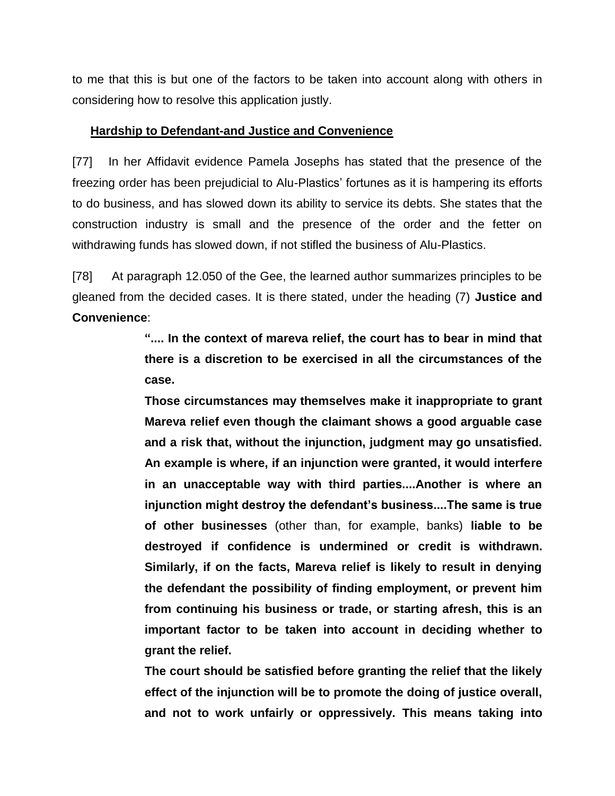to me that this is but one of the factors to be taken into account along with others in considering how to resolve this application justly.

## **Hardship to Defendant-and Justice and Convenience**

[77] In her Affidavit evidence Pamela Josephs has stated that the presence of the freezing order has been prejudicial to Alu-Plastics' fortunes as it is hampering its efforts to do business, and has slowed down its ability to service its debts. She states that the construction industry is small and the presence of the order and the fetter on withdrawing funds has slowed down, if not stifled the business of Alu-Plastics.

[78] At paragraph 12.050 of the Gee, the learned author summarizes principles to be gleaned from the decided cases. It is there stated, under the heading (7) **Justice and Convenience**:

> **".... In the context of mareva relief, the court has to bear in mind that there is a discretion to be exercised in all the circumstances of the case.**

> **Those circumstances may themselves make it inappropriate to grant Mareva relief even though the claimant shows a good arguable case and a risk that, without the injunction, judgment may go unsatisfied. An example is where, if an injunction were granted, it would interfere in an unacceptable way with third parties....Another is where an injunction might destroy the defendant's business....The same is true of other businesses** (other than, for example, banks) **liable to be destroyed if confidence is undermined or credit is withdrawn. Similarly, if on the facts, Mareva relief is likely to result in denying the defendant the possibility of finding employment, or prevent him from continuing his business or trade, or starting afresh, this is an important factor to be taken into account in deciding whether to grant the relief.**

> **The court should be satisfied before granting the relief that the likely effect of the injunction will be to promote the doing of justice overall, and not to work unfairly or oppressively. This means taking into**